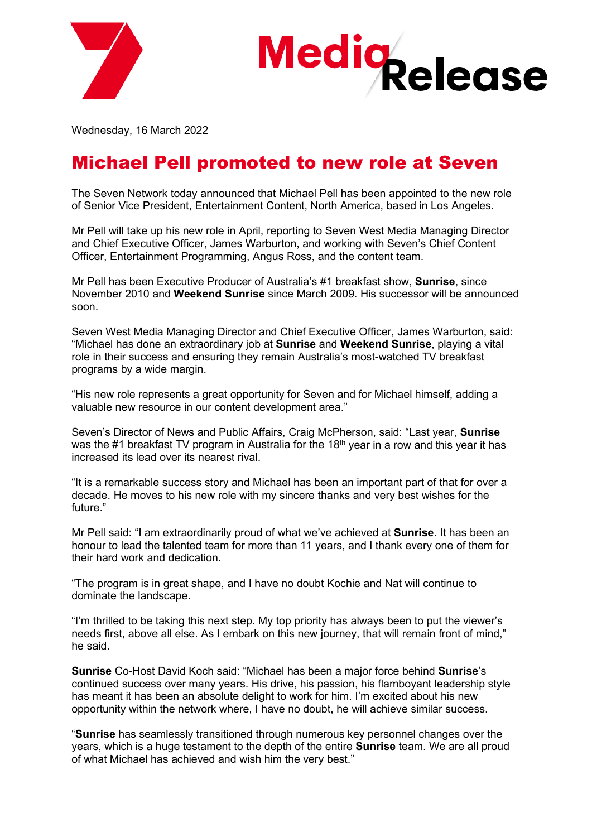



Wednesday, 16 March 2022

## Michael Pell promoted to new role at Seven

The Seven Network today announced that Michael Pell has been appointed to the new role of Senior Vice President, Entertainment Content, North America, based in Los Angeles.

Mr Pell will take up his new role in April, reporting to Seven West Media Managing Director and Chief Executive Officer, James Warburton, and working with Seven's Chief Content Officer, Entertainment Programming, Angus Ross, and the content team.

Mr Pell has been Executive Producer of Australia's #1 breakfast show, **Sunrise**, since November 2010 and **Weekend Sunrise** since March 2009. His successor will be announced soon.

Seven West Media Managing Director and Chief Executive Officer, James Warburton, said: "Michael has done an extraordinary job at **Sunrise** and **Weekend Sunrise**, playing a vital role in their success and ensuring they remain Australia's most-watched TV breakfast programs by a wide margin.

"His new role represents a great opportunity for Seven and for Michael himself, adding a valuable new resource in our content development area."

Seven's Director of News and Public Affairs, Craig McPherson, said: "Last year, **Sunrise** was the #1 breakfast TV program in Australia for the 18<sup>th</sup> year in a row and this year it has increased its lead over its nearest rival.

"It is a remarkable success story and Michael has been an important part of that for over a decade. He moves to his new role with my sincere thanks and very best wishes for the future."

Mr Pell said: "I am extraordinarily proud of what we've achieved at **Sunrise**. It has been an honour to lead the talented team for more than 11 years, and I thank every one of them for their hard work and dedication.

"The program is in great shape, and I have no doubt Kochie and Nat will continue to dominate the landscape.

"I'm thrilled to be taking this next step. My top priority has always been to put the viewer's needs first, above all else. As I embark on this new journey, that will remain front of mind," he said.

**Sunrise** Co-Host David Koch said: "Michael has been a major force behind **Sunrise**'s continued success over many years. His drive, his passion, his flamboyant leadership style has meant it has been an absolute delight to work for him. I'm excited about his new opportunity within the network where, I have no doubt, he will achieve similar success.

"**Sunrise** has seamlessly transitioned through numerous key personnel changes over the years, which is a huge testament to the depth of the entire **Sunrise** team. We are all proud of what Michael has achieved and wish him the very best."